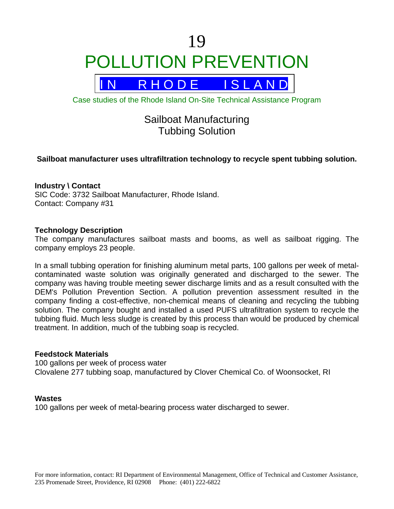# 19 POLLUTION PREVENTION



Case studies of the Rhode Island On-Site Technical Assistance Program

# Sailboat Manufacturing Tubbing Solution

# **Sailboat manufacturer uses ultrafiltration technology to recycle spent tubbing solution.**

#### **Industry \ Contact**

SIC Code: 3732 Sailboat Manufacturer, Rhode Island. Contact: Company #31

#### **Technology Description**

The company manufactures sailboat masts and booms, as well as sailboat rigging. The company employs 23 people.

In a small tubbing operation for finishing aluminum metal parts, 100 gallons per week of metalcontaminated waste solution was originally generated and discharged to the sewer. The company was having trouble meeting sewer discharge limits and as a result consulted with the DEM's Pollution Prevention Section. A pollution prevention assessment resulted in the company finding a cost-effective, non-chemical means of cleaning and recycling the tubbing solution. The company bought and installed a used PUFS ultrafiltration system to recycle the tubbing fluid. Much less sludge is created by this process than would be produced by chemical treatment. In addition, much of the tubbing soap is recycled.

#### **Feedstock Materials**

100 gallons per week of process water Clovalene 277 tubbing soap, manufactured by Clover Chemical Co. of Woonsocket, RI

#### **Wastes**

100 gallons per week of metal-bearing process water discharged to sewer.